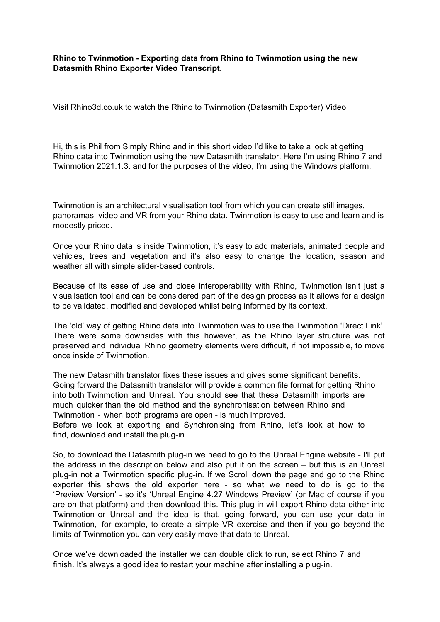**Rhino to Twinmotion - Exporting data from Rhino to Twinmotion using the new Datasmith Rhino Exporter Video Transcript.**

[Visit Rhino3d.co.uk to watch the Rhino to Twinmotion \(Datasmith Exporter\) Video](https://www.rhino3d.co.uk/news/exporting-data-from-rhino-to-twinmotion/)

Hi, this is Phil from [Simply Rhino](https://simplyrhino.co.uk/) and in this short video I'd like to take a look at getting Rhino data into Twinmotion using the new Datasmith translator. Here I'm using [Rhino 7](https://simplyrhino.co.uk/3d-modelling-software/rhinoceros-rhino-v7) and Twinmotion 2021.1.3. and for the purposes of the video, I'm using the Windows platform.

[Twinmotion](https://simplyrhino.co.uk/3d-modelling-software/rendering/twinmotion) is an architectural visualisation tool from which you can create still images, panoramas, video and VR from your Rhino data. Twinmotion is easy to use and learn and is modestly priced.

Once your Rhino data is inside Twinmotion, it's easy to add materials, animated people and vehicles, trees and vegetation and it's also easy to change the location, season and weather all with simple slider-based controls.

Because of its ease of use and close interoperability with Rhino, Twinmotion isn't just a visualisation tool and can be considered part of the design process as it allows for a design to be validated, modified and developed whilst being informed by its context.

The 'old' way of getting Rhino data into Twinmotion was to use the Twinmotion 'Direct Link'. There were some downsides with this however, as the Rhino layer structure was not preserved and individual Rhino geometry elements were difficult, if not impossible, to move once inside of Twinmotion.

The new Datasmith translator fixes these issues and gives some significant benefits. Going forward the Datasmith translator will provide a common file format for getting Rhino into both Twinmotion and Unreal. You should see that these Datasmith imports are much quicker than the old method and the synchronisation between Rhino and Twinmotion - when both programs are open - is much improved. Before we look at exporting and Synchronising from Rhino, let's look at how to find, download and install the plug-in.

So, to download the Datasmith plug-in we need to go to the Unreal Engine website - I'll put the address in the description below and also put it on the screen – but this is an Unreal plug-in not a Twinmotion specific plug-in. If we Scroll down the page and go to the Rhino exporter this shows the old exporter here - so what we need to do is go to the 'Preview Version' - so it's 'Unreal Engine 4.27 Windows Preview' (or Mac of course if you are on that platform) and then download this. This plug-in will export Rhino data either into Twinmotion or Unreal and the idea is that, going forward, you can use your data in Twinmotion, for example, to create a simple VR exercise and then if you go beyond the limits of Twinmotion you can very easily move that data to Unreal.

Once we've downloaded the installer we can double click to run, select Rhino 7 and finish. It's always a good idea to restart your machine after installing a plug-in.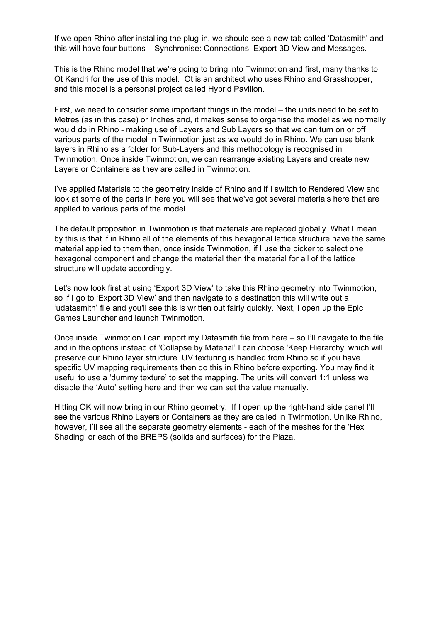If we open Rhino after installing the plug-in, we should see a new tab called 'Datasmith' and this will have four buttons – Synchronise: Connections, Export 3D View and Messages.

This is the Rhino model that we're going to bring into Twinmotion and first, many thanks to Ot Kandri for the use of this model. Ot is an architect who uses Rhino and Grasshopper, and this model is a personal project called Hybrid Pavilion.

First, we need to consider some important things in the model – the units need to be set to Metres (as in this case) or Inches and, it makes sense to organise the model as we normally would do in Rhino - making use of Layers and Sub Layers so that we can turn on or off various parts of the model in Twinmotion just as we would do in Rhino. We can use blank layers in Rhino as a folder for Sub-Layers and this methodology is recognised in Twinmotion. Once inside Twinmotion, we can rearrange existing Layers and create new Layers or Containers as they are called in Twinmotion.

I've applied Materials to the geometry inside of Rhino and if I switch to Rendered View and look at some of the parts in here you will see that we've got several materials here that are applied to various parts of the model.

The default proposition in Twinmotion is that materials are replaced globally. What I mean by this is that if in Rhino all of the elements of this hexagonal lattice structure have the same material applied to them then, once inside Twinmotion, if I use the picker to select one hexagonal component and change the material then the material for all of the lattice structure will update accordingly.

Let's now look first at using 'Export 3D View' to take this Rhino geometry into Twinmotion, so if I go to 'Export 3D View' and then navigate to a destination this will write out a 'udatasmith' file and you'll see this is written out fairly quickly. Next, I open up the Epic Games Launcher and launch Twinmotion.

Once inside Twinmotion I can import my Datasmith file from here – so I'll navigate to the file and in the options instead of 'Collapse by Material' I can choose 'Keep Hierarchy' which will preserve our Rhino layer structure. UV texturing is handled from Rhino so if you have specific UV mapping requirements then do this in Rhino before exporting. You may find it useful to use a 'dummy texture' to set the mapping. The units will convert 1:1 unless we disable the 'Auto' setting here and then we can set the value manually.

Hitting OK will now bring in our Rhino geometry. If I open up the right-hand side panel I'll see the various Rhino Layers or Containers as they are called in Twinmotion. Unlike Rhino, however, I'll see all the separate geometry elements - each of the meshes for the 'Hex Shading' or each of the BREPS (solids and surfaces) for the Plaza.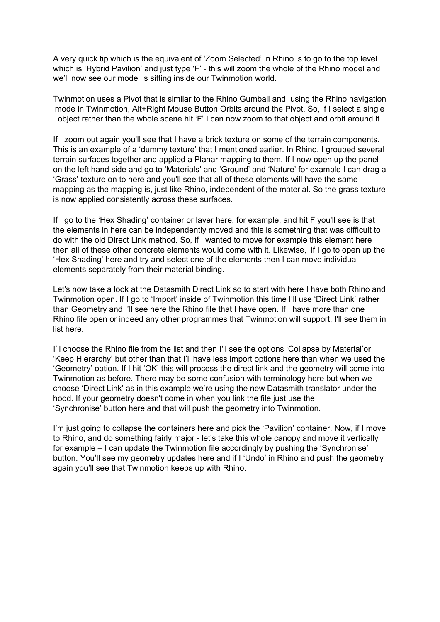A very quick tip which is the equivalent of 'Zoom Selected' in Rhino is to go to the top level which is 'Hybrid Pavilion' and just type 'F' - this will zoom the whole of the Rhino model and we'll now see our model is sitting inside our Twinmotion world.

Twinmotion uses a Pivot that is similar to the Rhino Gumball and, using the Rhino navigation mode in Twinmotion, Alt+Right Mouse Button Orbits around the Pivot. So, if I select a single object rather than the whole scene hit 'F' I can now zoom to that object and orbit around it.

If I zoom out again you'll see that I have a brick texture on some of the terrain components. This is an example of a 'dummy texture' that I mentioned earlier. In Rhino, I grouped several terrain surfaces together and applied a Planar mapping to them. If I now open up the panel on the left hand side and go to 'Materials' and 'Ground' and 'Nature' for example I can drag a 'Grass' texture on to here and you'll see that all of these elements will have the same mapping as the mapping is, just like Rhino, independent of the material. So the grass texture is now applied consistently across these surfaces.

If I go to the 'Hex Shading' container or layer here, for example, and hit F you'll see is that the elements in here can be independently moved and this is something that was difficult to do with the old Direct Link method. So, if I wanted to move for example this element here then all of these other concrete elements would come with it. Likewise, if I go to open up the 'Hex Shading' here and try and select one of the elements then I can move individual elements separately from their material binding.

Let's now take a look at the Datasmith Direct Link so to start with here I have both Rhino and Twinmotion open. If I go to 'Import' inside of Twinmotion this time I'll use 'Direct Link' rather than Geometry and I'll see here the Rhino file that I have open. If I have more than one Rhino file open or indeed any other programmes that Twinmotion will support, I'll see them in list here.

I'll choose the Rhino file from the list and then I'll see the options 'Collapse by Material'or 'Keep Hierarchy' but other than that I'll have less import options here than when we used the 'Geometry' option. If I hit 'OK' this will process the direct link and the geometry will come into Twinmotion as before. There may be some confusion with terminology here but when we choose 'Direct Link' as in this example we're using the new Datasmith translator under the hood. If your geometry doesn't come in when you link the file just use the 'Synchronise' button here and that will push the geometry into Twinmotion.

I'm just going to collapse the containers here and pick the 'Pavilion' container. Now, if I move to Rhino, and do something fairly major - let's take this whole canopy and move it vertically for example – I can update the Twinmotion file accordingly by pushing the 'Synchronise' button. You'll see my geometry updates here and if I 'Undo' in Rhino and push the geometry again you'll see that Twinmotion keeps up with Rhino.